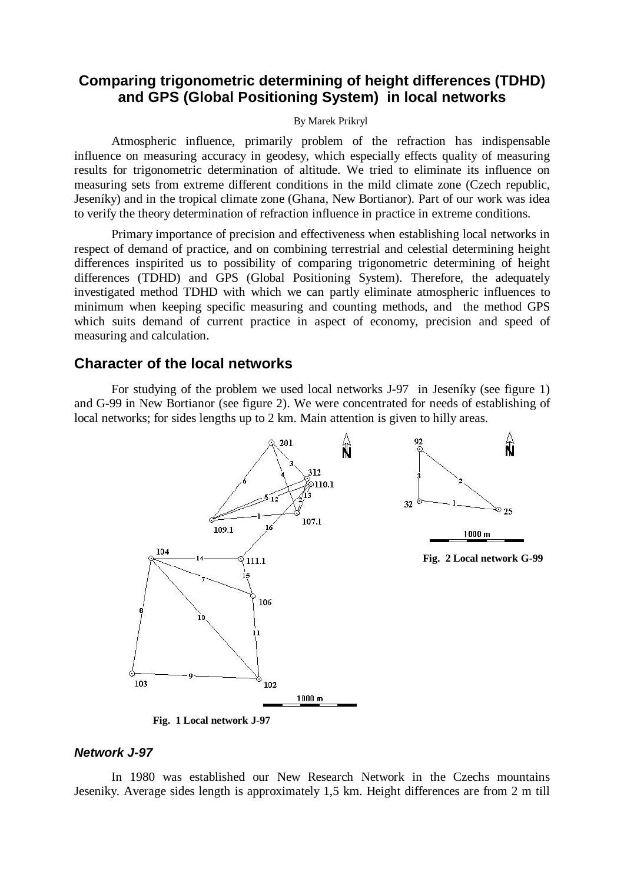# **Comparing trigonometric determining of height differences (TDHD) and GPS (Global Positioning System) in local networks**

#### By Marek Prikryl

Atmospheric influence, primarily problem of the refraction has indispensable influence on measuring accuracy in geodesy, which especially effects quality of measuring results for trigonometric determination of altitude. We tried to eliminate its influence on measuring sets from extreme different conditions in the mild climate zone (Czech republic, Jeseníky) and in the tropical climate zone (Ghana, New Bortianor). Part of our work was idea to verify the theory determination of refraction influence in practice in extreme conditions.

Primary importance of precision and effectiveness when establishing local networks in respect of demand of practice, and on combining terrestrial and celestial determining height differences inspirited us to possibility of comparing trigonometric determining of height differences (TDHD) and GPS (Global Positioning System). Therefore, the adequately investigated method TDHD with which we can partly eliminate atmospheric influences to minimum when keeping specific measuring and counting methods, and the method GPS which suits demand of current practice in aspect of economy, precision and speed of measuring and calculation.

## **Character of the local networks**

For studying of the problem we used local networks J-97 in Jeseníky (see figure 1) and G-99 in New Bortianor (see figure 2). We were concentrated for needs of establishing of local networks; for sides lengths up to 2 km. Main attention is given to hilly areas.



**Fig. 1 Local network J-97**

### *Network J-97*

In 1980 was established our New Research Network in the Czechs mountains Jeseniky. Average sides length is approximately 1,5 km. Height differences are from 2 m till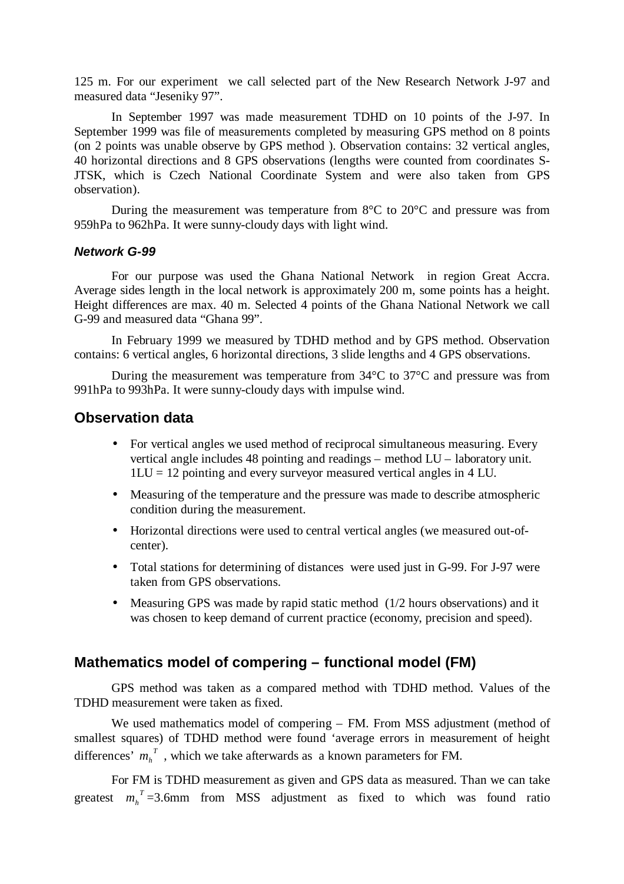125 m. For our experiment we call selected part of the New Research Network J-97 and measured data "Jeseniky 97".

In September 1997 was made measurement TDHD on 10 points of the J-97. In September 1999 was file of measurements completed by measuring GPS method on 8 points (on 2 points was unable observe by GPS method ). Observation contains: 32 vertical angles, 40 horizontal directions and 8 GPS observations (lengths were counted from coordinates S-JTSK, which is Czech National Coordinate System and were also taken from GPS observation).

During the measurement was temperature from 8°C to 20°C and pressure was from 959hPa to 962hPa. It were sunny-cloudy days with light wind.

#### *Network G-99*

For our purpose was used the Ghana National Network in region Great Accra. Average sides length in the local network is approximately 200 m, some points has a height. Height differences are max. 40 m. Selected 4 points of the Ghana National Network we call G-99 and measured data "Ghana 99".

In February 1999 we measured by TDHD method and by GPS method. Observation contains: 6 vertical angles, 6 horizontal directions, 3 slide lengths and 4 GPS observations.

During the measurement was temperature from 34°C to 37°C and pressure was from 991hPa to 993hPa. It were sunny-cloudy days with impulse wind.

### **Observation data**

- For vertical angles we used method of reciprocal simultaneous measuring. Every vertical angle includes 48 pointing and readings – method LU – laboratory unit.  $1LU = 12$  pointing and every surveyor measured vertical angles in 4 LU.
- Measuring of the temperature and the pressure was made to describe atmospheric condition during the measurement.
- Horizontal directions were used to central vertical angles (we measured out-ofcenter).
- Total stations for determining of distances were used just in G-99. For J-97 were taken from GPS observations.
- Measuring GPS was made by rapid static method (1/2 hours observations) and it was chosen to keep demand of current practice (economy, precision and speed).

# **Mathematics model of compering – functional model (FM)**

GPS method was taken as a compared method with TDHD method. Values of the TDHD measurement were taken as fixed.

We used mathematics model of compering – FM. From MSS adjustment (method of smallest squares) of TDHD method were found 'average errors in measurement of height differences'  $m_h^T$ , which we take afterwards as a known parameters for FM.

For FM is TDHD measurement as given and GPS data as measured. Than we can take greatest  $m_h^T = 3.6$ mm from MSS adjustment as fixed to which was found ratio